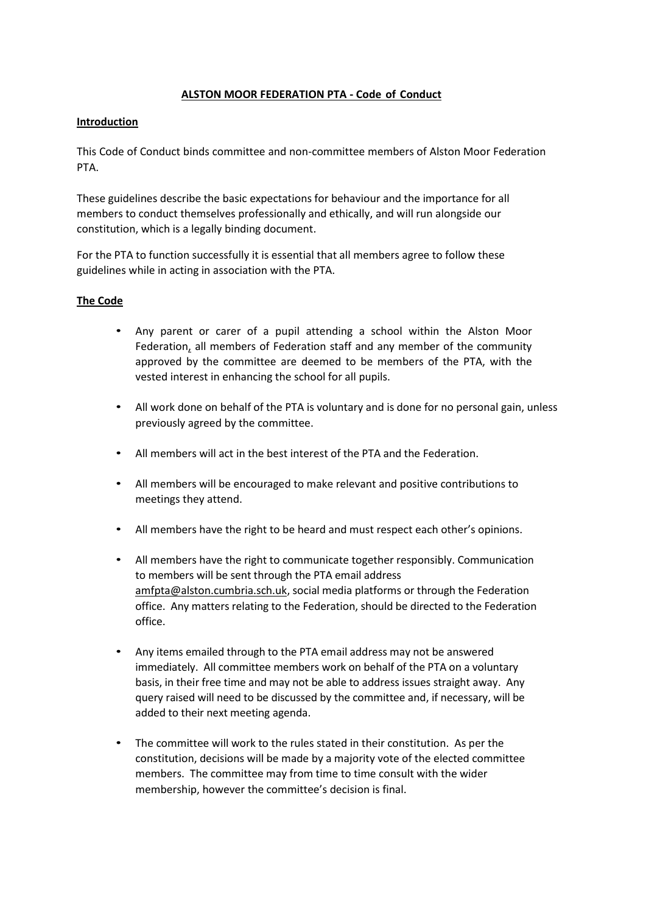## **ALSTON MOOR FEDERATION PTA - Code of Conduct**

# **Introduction**

This Code of Conduct binds committee and non-committee members of Alston Moor Federation PTA.

These guidelines describe the basic expectations for behaviour and the importance for all members to conduct themselves professionally and ethically, and will run alongside our constitution, which is a legally binding document.

For the PTA to function successfully it is essential that all members agree to follow these guidelines while in acting in association with the PTA.

## **The Code**

- Any parent or carer of a pupil attending a school within the Alston Moor Federation, all members of Federation staff and any member of the community approved by the committee are deemed to be members of the PTA, with the vested interest in enhancing the school for all pupils.
- All work done on behalf of the PTA is voluntary and is done for no personal gain, unless previously agreed by the committee.
- All members will act in the best interest of the PTA and the Federation.
- All members will be encouraged to make relevant and positive contributions to meetings they attend.
- All members have the right to be heard and must respect each other's opinions.
- All members have the right to communicate together responsibly. Communication to members will be sent through the PTA email address amfpta@alston.cumbria.sch.uk, social media platforms or through the Federation office. Any matters relating to the Federation, should be directed to the Federation office.
- Any items emailed through to the PTA email address may not be answered immediately. All committee members work on behalf of the PTA on a voluntary basis, in their free time and may not be able to address issues straight away. Any query raised will need to be discussed by the committee and, if necessary, will be added to their next meeting agenda.
- The committee will work to the rules stated in their constitution. As per the constitution, decisions will be made by a majority vote of the elected committee members. The committee may from time to time consult with the wider membership, however the committee's decision is final.